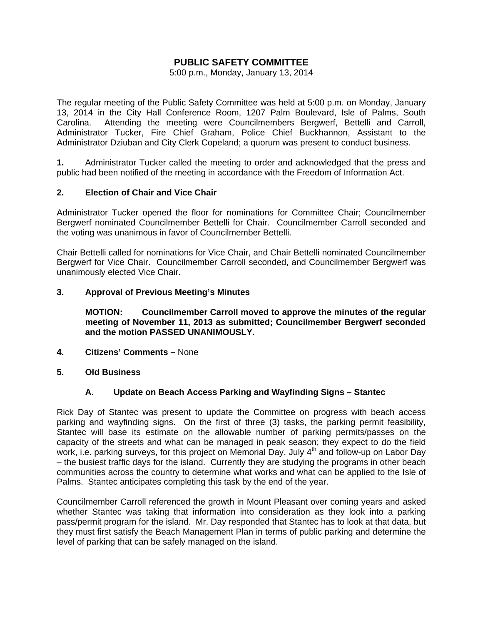# **PUBLIC SAFETY COMMITTEE**

5:00 p.m., Monday, January 13, 2014

The regular meeting of the Public Safety Committee was held at 5:00 p.m. on Monday, January 13, 2014 in the City Hall Conference Room, 1207 Palm Boulevard, Isle of Palms, South Carolina. Attending the meeting were Councilmembers Bergwerf, Bettelli and Carroll, Administrator Tucker, Fire Chief Graham, Police Chief Buckhannon, Assistant to the Administrator Dziuban and City Clerk Copeland; a quorum was present to conduct business.

**1.** Administrator Tucker called the meeting to order and acknowledged that the press and public had been notified of the meeting in accordance with the Freedom of Information Act.

## **2. Election of Chair and Vice Chair**

Administrator Tucker opened the floor for nominations for Committee Chair; Councilmember Bergwerf nominated Councilmember Bettelli for Chair. Councilmember Carroll seconded and the voting was unanimous in favor of Councilmember Bettelli.

Chair Bettelli called for nominations for Vice Chair, and Chair Bettelli nominated Councilmember Bergwerf for Vice Chair. Councilmember Carroll seconded, and Councilmember Bergwerf was unanimously elected Vice Chair.

## **3. Approval of Previous Meeting's Minutes**

 **MOTION: Councilmember Carroll moved to approve the minutes of the regular meeting of November 11, 2013 as submitted; Councilmember Bergwerf seconded and the motion PASSED UNANIMOUSLY.** 

- **4. Citizens' Comments** None
- **5. Old Business**

## **A. Update on Beach Access Parking and Wayfinding Signs – Stantec**

Rick Day of Stantec was present to update the Committee on progress with beach access parking and wayfinding signs. On the first of three (3) tasks, the parking permit feasibility, Stantec will base its estimate on the allowable number of parking permits/passes on the capacity of the streets and what can be managed in peak season; they expect to do the field work, i.e. parking surveys, for this project on Memorial Day, July 4<sup>th</sup> and follow-up on Labor Day – the busiest traffic days for the island. Currently they are studying the programs in other beach communities across the country to determine what works and what can be applied to the Isle of Palms. Stantec anticipates completing this task by the end of the year.

Councilmember Carroll referenced the growth in Mount Pleasant over coming years and asked whether Stantec was taking that information into consideration as they look into a parking pass/permit program for the island. Mr. Day responded that Stantec has to look at that data, but they must first satisfy the Beach Management Plan in terms of public parking and determine the level of parking that can be safely managed on the island.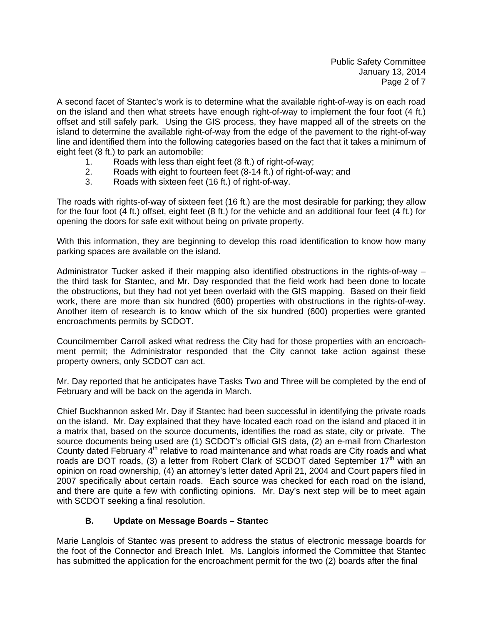Public Safety Committee January 13, 2014 Page 2 of 7

A second facet of Stantec's work is to determine what the available right-of-way is on each road on the island and then what streets have enough right-of-way to implement the four foot (4 ft.) offset and still safely park. Using the GIS process, they have mapped all of the streets on the island to determine the available right-of-way from the edge of the pavement to the right-of-way line and identified them into the following categories based on the fact that it takes a minimum of eight feet (8 ft.) to park an automobile:

- 1. Roads with less than eight feet (8 ft.) of right-of-way;
- 2. Roads with eight to fourteen feet (8-14 ft.) of right-of-way; and
- 3. Roads with sixteen feet (16 ft.) of right-of-way.

The roads with rights-of-way of sixteen feet (16 ft.) are the most desirable for parking; they allow for the four foot (4 ft.) offset, eight feet (8 ft.) for the vehicle and an additional four feet (4 ft.) for opening the doors for safe exit without being on private property.

With this information, they are beginning to develop this road identification to know how many parking spaces are available on the island.

Administrator Tucker asked if their mapping also identified obstructions in the rights-of-way – the third task for Stantec, and Mr. Day responded that the field work had been done to locate the obstructions, but they had not yet been overlaid with the GIS mapping. Based on their field work, there are more than six hundred (600) properties with obstructions in the rights-of-way. Another item of research is to know which of the six hundred (600) properties were granted encroachments permits by SCDOT.

Councilmember Carroll asked what redress the City had for those properties with an encroachment permit; the Administrator responded that the City cannot take action against these property owners, only SCDOT can act.

Mr. Day reported that he anticipates have Tasks Two and Three will be completed by the end of February and will be back on the agenda in March.

Chief Buckhannon asked Mr. Day if Stantec had been successful in identifying the private roads on the island. Mr. Day explained that they have located each road on the island and placed it in a matrix that, based on the source documents, identifies the road as state, city or private. The source documents being used are (1) SCDOT's official GIS data, (2) an e-mail from Charleston County dated February 4<sup>th</sup> relative to road maintenance and what roads are City roads and what roads are DOT roads, (3) a letter from Robert Clark of SCDOT dated September  $17<sup>th</sup>$  with an opinion on road ownership, (4) an attorney's letter dated April 21, 2004 and Court papers filed in 2007 specifically about certain roads. Each source was checked for each road on the island, and there are quite a few with conflicting opinions. Mr. Day's next step will be to meet again with SCDOT seeking a final resolution.

# **B. Update on Message Boards – Stantec**

Marie Langlois of Stantec was present to address the status of electronic message boards for the foot of the Connector and Breach Inlet. Ms. Langlois informed the Committee that Stantec has submitted the application for the encroachment permit for the two (2) boards after the final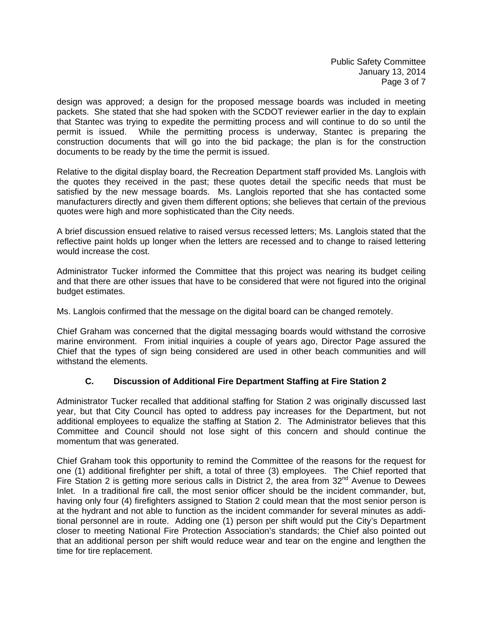Public Safety Committee January 13, 2014 Page 3 of 7

design was approved; a design for the proposed message boards was included in meeting packets. She stated that she had spoken with the SCDOT reviewer earlier in the day to explain that Stantec was trying to expedite the permitting process and will continue to do so until the permit is issued. While the permitting process is underway, Stantec is preparing the construction documents that will go into the bid package; the plan is for the construction documents to be ready by the time the permit is issued.

Relative to the digital display board, the Recreation Department staff provided Ms. Langlois with the quotes they received in the past; these quotes detail the specific needs that must be satisfied by the new message boards. Ms. Langlois reported that she has contacted some manufacturers directly and given them different options; she believes that certain of the previous quotes were high and more sophisticated than the City needs.

A brief discussion ensued relative to raised versus recessed letters; Ms. Langlois stated that the reflective paint holds up longer when the letters are recessed and to change to raised lettering would increase the cost.

Administrator Tucker informed the Committee that this project was nearing its budget ceiling and that there are other issues that have to be considered that were not figured into the original budget estimates.

Ms. Langlois confirmed that the message on the digital board can be changed remotely.

Chief Graham was concerned that the digital messaging boards would withstand the corrosive marine environment. From initial inquiries a couple of years ago, Director Page assured the Chief that the types of sign being considered are used in other beach communities and will withstand the elements.

# **C. Discussion of Additional Fire Department Staffing at Fire Station 2**

Administrator Tucker recalled that additional staffing for Station 2 was originally discussed last year, but that City Council has opted to address pay increases for the Department, but not additional employees to equalize the staffing at Station 2. The Administrator believes that this Committee and Council should not lose sight of this concern and should continue the momentum that was generated.

Chief Graham took this opportunity to remind the Committee of the reasons for the request for one (1) additional firefighter per shift, a total of three (3) employees. The Chief reported that Fire Station 2 is getting more serious calls in District 2, the area from  $32<sup>nd</sup>$  Avenue to Dewees Inlet. In a traditional fire call, the most senior officer should be the incident commander, but, having only four (4) firefighters assigned to Station 2 could mean that the most senior person is at the hydrant and not able to function as the incident commander for several minutes as additional personnel are in route. Adding one (1) person per shift would put the City's Department closer to meeting National Fire Protection Association's standards; the Chief also pointed out that an additional person per shift would reduce wear and tear on the engine and lengthen the time for tire replacement.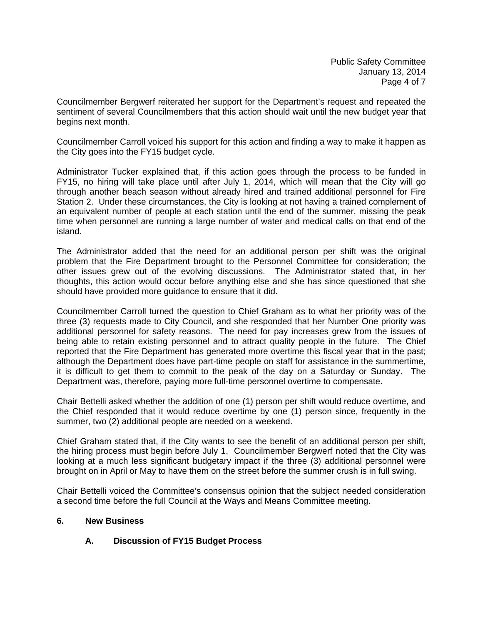Councilmember Bergwerf reiterated her support for the Department's request and repeated the sentiment of several Councilmembers that this action should wait until the new budget year that begins next month.

Councilmember Carroll voiced his support for this action and finding a way to make it happen as the City goes into the FY15 budget cycle.

Administrator Tucker explained that, if this action goes through the process to be funded in FY15, no hiring will take place until after July 1, 2014, which will mean that the City will go through another beach season without already hired and trained additional personnel for Fire Station 2. Under these circumstances, the City is looking at not having a trained complement of an equivalent number of people at each station until the end of the summer, missing the peak time when personnel are running a large number of water and medical calls on that end of the island.

The Administrator added that the need for an additional person per shift was the original problem that the Fire Department brought to the Personnel Committee for consideration; the other issues grew out of the evolving discussions. The Administrator stated that, in her thoughts, this action would occur before anything else and she has since questioned that she should have provided more guidance to ensure that it did.

Councilmember Carroll turned the question to Chief Graham as to what her priority was of the three (3) requests made to City Council, and she responded that her Number One priority was additional personnel for safety reasons. The need for pay increases grew from the issues of being able to retain existing personnel and to attract quality people in the future. The Chief reported that the Fire Department has generated more overtime this fiscal year that in the past; although the Department does have part-time people on staff for assistance in the summertime, it is difficult to get them to commit to the peak of the day on a Saturday or Sunday. The Department was, therefore, paying more full-time personnel overtime to compensate.

Chair Bettelli asked whether the addition of one (1) person per shift would reduce overtime, and the Chief responded that it would reduce overtime by one (1) person since, frequently in the summer, two (2) additional people are needed on a weekend.

Chief Graham stated that, if the City wants to see the benefit of an additional person per shift, the hiring process must begin before July 1. Councilmember Bergwerf noted that the City was looking at a much less significant budgetary impact if the three (3) additional personnel were brought on in April or May to have them on the street before the summer crush is in full swing.

Chair Bettelli voiced the Committee's consensus opinion that the subject needed consideration a second time before the full Council at the Ways and Means Committee meeting.

# **6. New Business**

# **A. Discussion of FY15 Budget Process**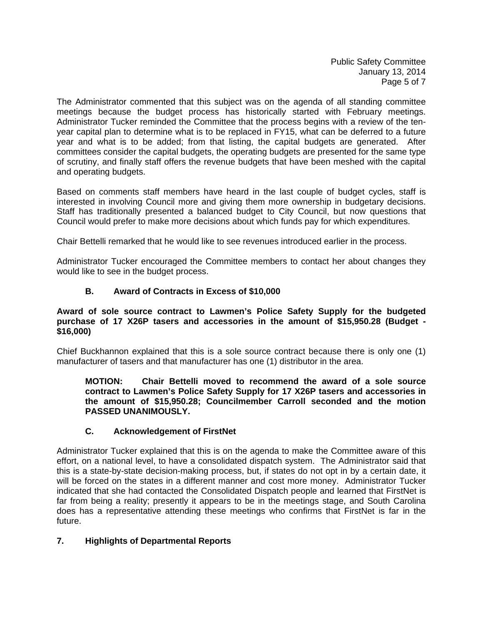Public Safety Committee January 13, 2014 Page 5 of 7

The Administrator commented that this subject was on the agenda of all standing committee meetings because the budget process has historically started with February meetings. Administrator Tucker reminded the Committee that the process begins with a review of the tenyear capital plan to determine what is to be replaced in FY15, what can be deferred to a future year and what is to be added; from that listing, the capital budgets are generated. After committees consider the capital budgets, the operating budgets are presented for the same type of scrutiny, and finally staff offers the revenue budgets that have been meshed with the capital and operating budgets.

Based on comments staff members have heard in the last couple of budget cycles, staff is interested in involving Council more and giving them more ownership in budgetary decisions. Staff has traditionally presented a balanced budget to City Council, but now questions that Council would prefer to make more decisions about which funds pay for which expenditures.

Chair Bettelli remarked that he would like to see revenues introduced earlier in the process.

Administrator Tucker encouraged the Committee members to contact her about changes they would like to see in the budget process.

# **B. Award of Contracts in Excess of \$10,000**

## **Award of sole source contract to Lawmen's Police Safety Supply for the budgeted purchase of 17 X26P tasers and accessories in the amount of \$15,950.28 (Budget - \$16,000)**

Chief Buckhannon explained that this is a sole source contract because there is only one (1) manufacturer of tasers and that manufacturer has one (1) distributor in the area.

**MOTION: Chair Bettelli moved to recommend the award of a sole source contract to Lawmen's Police Safety Supply for 17 X26P tasers and accessories in the amount of \$15,950.28; Councilmember Carroll seconded and the motion PASSED UNANIMOUSLY.** 

# **C. Acknowledgement of FirstNet**

Administrator Tucker explained that this is on the agenda to make the Committee aware of this effort, on a national level, to have a consolidated dispatch system. The Administrator said that this is a state-by-state decision-making process, but, if states do not opt in by a certain date, it will be forced on the states in a different manner and cost more money. Administrator Tucker indicated that she had contacted the Consolidated Dispatch people and learned that FirstNet is far from being a reality; presently it appears to be in the meetings stage, and South Carolina does has a representative attending these meetings who confirms that FirstNet is far in the future.

# **7. Highlights of Departmental Reports**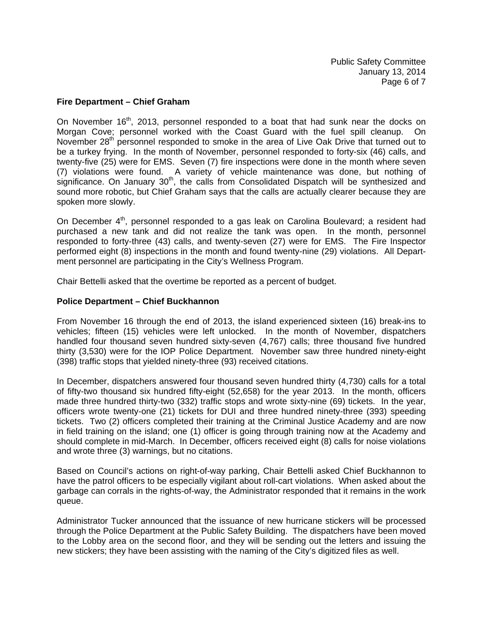## **Fire Department – Chief Graham**

On November  $16<sup>th</sup>$ , 2013, personnel responded to a boat that had sunk near the docks on Morgan Cove; personnel worked with the Coast Guard with the fuel spill cleanup. On November 28<sup>th</sup> personnel responded to smoke in the area of Live Oak Drive that turned out to be a turkey frying. In the month of November, personnel responded to forty-six (46) calls, and twenty-five (25) were for EMS. Seven (7) fire inspections were done in the month where seven (7) violations were found. A variety of vehicle maintenance was done, but nothing of significance. On January  $30<sup>th</sup>$ , the calls from Consolidated Dispatch will be synthesized and sound more robotic, but Chief Graham says that the calls are actually clearer because they are spoken more slowly.

On December 4<sup>th</sup>, personnel responded to a gas leak on Carolina Boulevard; a resident had purchased a new tank and did not realize the tank was open. In the month, personnel responded to forty-three (43) calls, and twenty-seven (27) were for EMS. The Fire Inspector performed eight (8) inspections in the month and found twenty-nine (29) violations. All Department personnel are participating in the City's Wellness Program.

Chair Bettelli asked that the overtime be reported as a percent of budget.

## **Police Department – Chief Buckhannon**

From November 16 through the end of 2013, the island experienced sixteen (16) break-ins to vehicles; fifteen (15) vehicles were left unlocked. In the month of November, dispatchers handled four thousand seven hundred sixty-seven (4,767) calls; three thousand five hundred thirty (3,530) were for the IOP Police Department. November saw three hundred ninety-eight (398) traffic stops that yielded ninety-three (93) received citations.

In December, dispatchers answered four thousand seven hundred thirty (4,730) calls for a total of fifty-two thousand six hundred fifty-eight (52,658) for the year 2013. In the month, officers made three hundred thirty-two (332) traffic stops and wrote sixty-nine (69) tickets. In the year, officers wrote twenty-one (21) tickets for DUI and three hundred ninety-three (393) speeding tickets. Two (2) officers completed their training at the Criminal Justice Academy and are now in field training on the island; one (1) officer is going through training now at the Academy and should complete in mid-March. In December, officers received eight (8) calls for noise violations and wrote three (3) warnings, but no citations.

Based on Council's actions on right-of-way parking, Chair Bettelli asked Chief Buckhannon to have the patrol officers to be especially vigilant about roll-cart violations. When asked about the garbage can corrals in the rights-of-way, the Administrator responded that it remains in the work queue.

Administrator Tucker announced that the issuance of new hurricane stickers will be processed through the Police Department at the Public Safety Building. The dispatchers have been moved to the Lobby area on the second floor, and they will be sending out the letters and issuing the new stickers; they have been assisting with the naming of the City's digitized files as well.